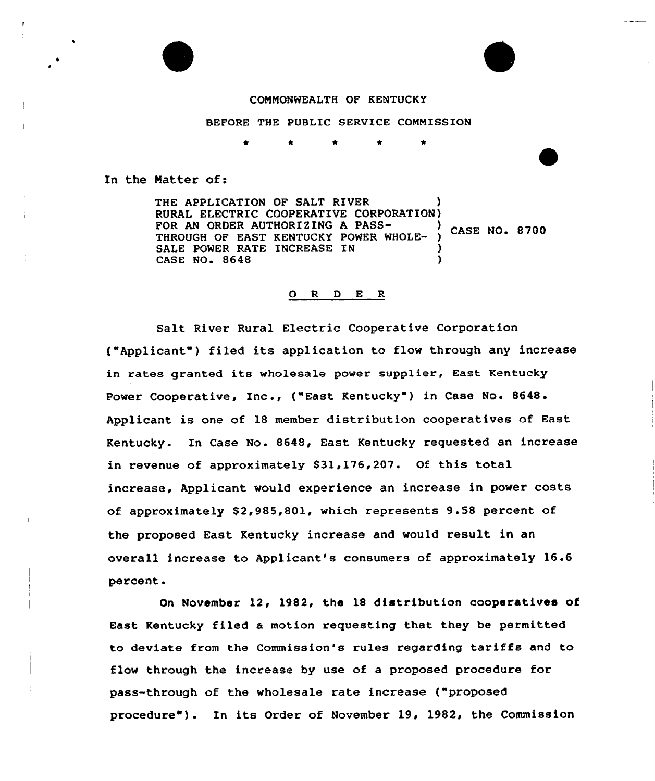#### CONNONWEALTH OF KENTUCKY

BEFORE THE PUBLIC SERVICE COMMISSION

In the Natter of:

THE APPLICATION OF SALT RIVER RURAL ELECTRIC COOPERATIVE CORPORATION) FOR AN ORDER AUTHORIZING A PASS-<br>
THE ROLL OF THE MULTIMUM SECOND CHARGE OF STROE ROLL 8700 THROUGH OF EAST KENTUCKY POWER WHOLE-SALE POWER RATE INCREASE IN CASE NO. 8648

#### O R D E R

Salt River Rural Electric Cooperative Corporation {"Applicant") filed its application to flow through any increase in rates granted its wholesale power supplier, East Kentucky Power Cooperative, Inc., ("East Kentucky") in Case No. 8648. Applicant is one of 18 member distribution cooperatives of East Kentucky. In Case No. 8648, East Kentucky requested an increase in revenue of approximately \$31,176,207. Of this total increase, Applicant would experience an increase in power costs of approximately \$2,985,801, which represents 9.58 percent of the proposed East Kentucky increase and would result in an overall increase to Applicant's consumers of approximately 16.6 percent.

On November 12, 1982, the 18 distribution cooperatives of East Kentucky filed a motion requesting that they be permitted to deviate from the Commission's rules regarding tariffs and to flow through the increase by use of a proposed procedure for pass-through of the wholesale rate increase ("proposed procedure"). In its Order of November 19, 1982, the Commission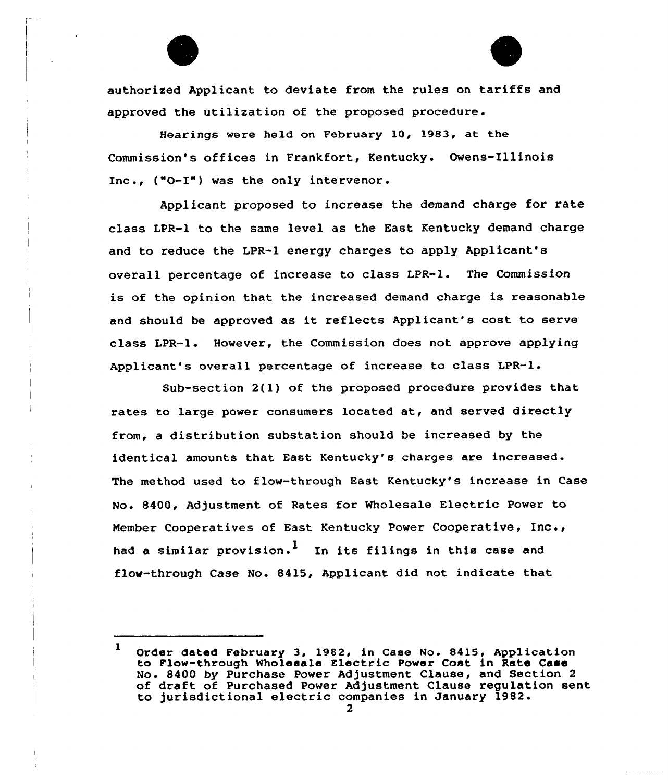

authorized Applicant to deviate from the rules on tariffs and approved the utilization of the proposed procedure.

Hearings wexe held on February 10, 1983, at the Commission's offices in Frankfort, Kentucky. Owens-Illinois Inc., ("0-I") was the only intervenor .

Applicant proposed to increase the demand charge for rate class LPR-1 to the same level as the East Kentucky demand charge and to reduce the LPR-1 energy charges to apply Applicant's overall percentage of increase to class LPR-1. The Commission is of the opinion that the increased demand charge is reasonable and should be approved as it reflects Applicant's cost to serve class LPR-1. However, the Commission does not approve applying Applicant's overall percentage of increase to class LPR-l.

Sub-section 2(l) of the proposed procedure provides that rates to large power consumers located at, and served directly from, a distribution substation should be increased by the identical amounts that East Kentucky's charges are increased. The method used to flow-through East Kentucky's incxease in Case No. 8400, Adjustment of Rates for Wholesale Electric Power to Nember Cooperatives of East Kentucky Power Cooperative, Inc., had a similar provision.<sup>1</sup> In its filings in this case and flow-through Case No. 8415, Applicant did not indicate that

<sup>1</sup> Order dated February 3, 1982, in Case No. 8415, Application to Flew-through Wholesale Electric Power Cost in Rate Case No. 8400 by Purchase Power Adjustment Clause, and Section <sup>2</sup> of draft of Purchased Power Adjustment Clause regulation sent to jurisdictional electric companies in January 1982.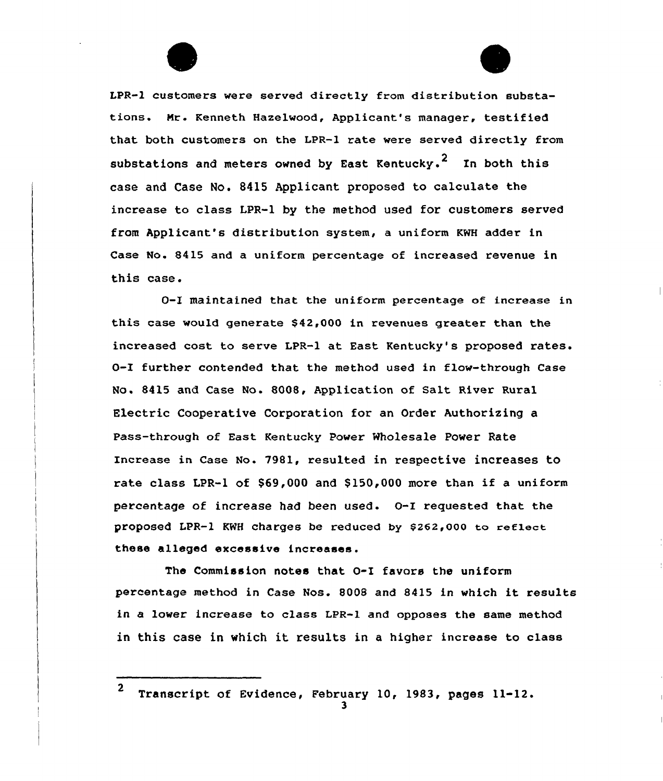

LPR-1 customers were served directly from distribution substations. Mr. Kenneth Hazelwood, Applicant's manager, testified that both customers on the LPR-1 rate were served directly from substations and meters owned by East Kentucky.<sup>2</sup> In both this case and Case No. 8415 Applicant proposed to calculate the increase to class LPR-1 by the method used for customers served from Applicant's distribution system, a uniform KNH adder in Case No. 8415 and a uniform percentage of increased revenue in this case.

0-I maintained that the uniform percentage of increase in this case would generate \$42,000 in revenues greater than the increased cost to serve LPR-1 at East Kentucky's proposed rates. 0-I further contended that the method used in flow-through Case No. &415 and Case No. 8008, Application of Salt River Rural Electric Cooperative Corporation for an Order Authorizing a Pass-through of East Kentucky Power wholesale Power Rate Increase in Case No. 7981, resulted in respective increases to rate class LPR-1 of \$69,000 and \$150,000 more than if a uniform percentage of increase had been used. 0-I requested that the proposed LPR-1 KWH charges be reduced by \$262,000 to reflect these alleged excessive increases.

The Commission notes that 0-I favors the uniform percentage method in Case Nos. <sup>8008</sup> and 8415 in which it results in a lower increase to class LPR-1 and opposes the same method in this case in which it results in <sup>a</sup> higher increase to class

<sup>2</sup> Transcript of Evidence, February 10, 1983, pages 11-12.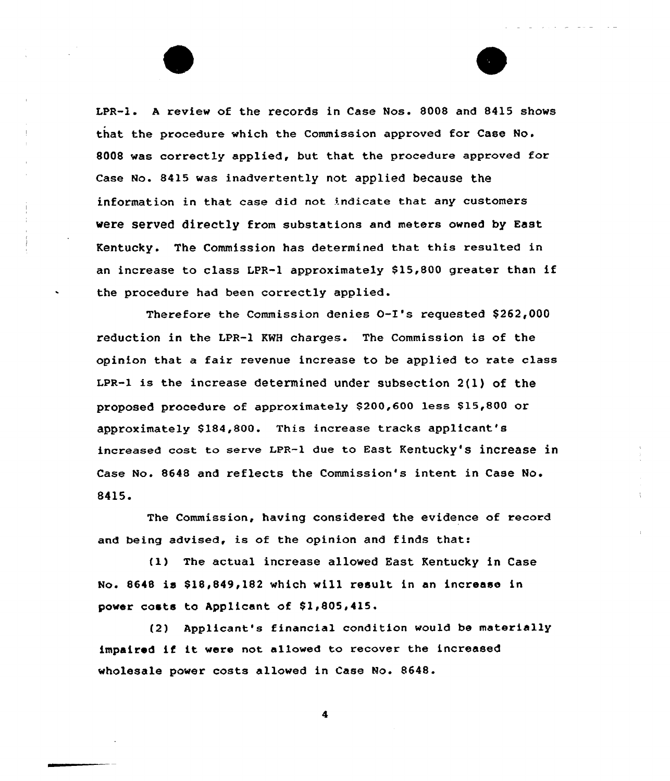LPR-1. <sup>A</sup> review of the records in Case Nos. 8008 and 8415 shows that the procedure which the Commission approved for Case No. 8008 was correctly applied, but that the procedure approved for case No. 8415 was inadvertently not applied because the information in that case did not indicate that any customers were served directly from substations and meters owned by East Kentucky. The Commission has determined that this resulted in an increase to class LPR-1 approximately \$15,800 greater than if the procedure had been correctly applied.

Therefore the Commission denies O-I's requested \$262,000 reduction in the LPR-1 KWH charges. The Commission is of the opinion that a fair revenue increase to be applied to rate class LpR-1 is the increase determined under subsection 2(l) of the proposed procedure of approximately \$200,600 less \$15,800 or approximately \$184,800. This increase tracks applicant's increased cost to serve LPR-1 due to East Kentucky'8 increase in Case No. 8648 and reflects the Commission's intent in Case No. 8415.

The Commission, having considered the evidence of record and being advised, is of the opinion and finds that:

(1) The actual increase allowed East Kentucky in Case No. 8648 is \$18,849,182 which will result in an increase in power costs to Applicant of \$1,805,415.

(2} Applicant's financial condition would be materially impaired if it were not allowed to recover the increased wholesale power costs allowed in Case No. 8648.

4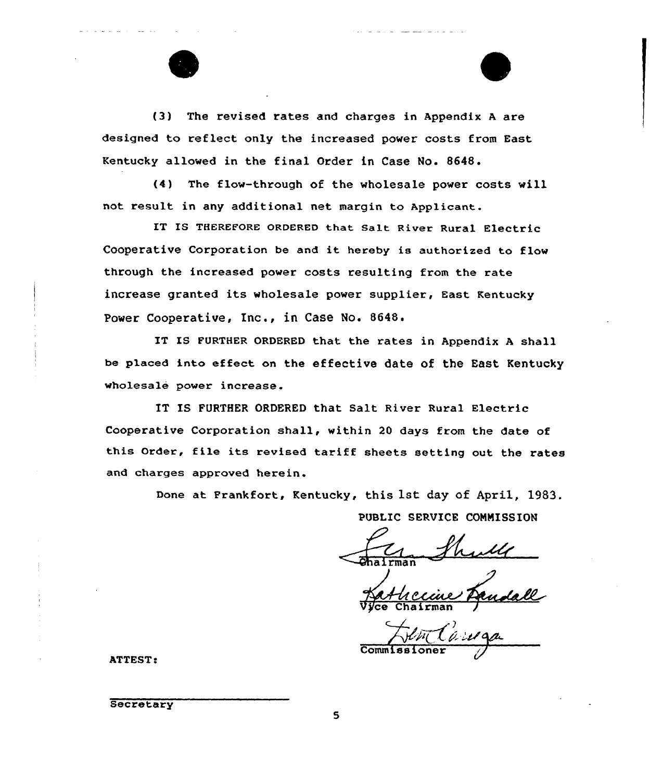

(3) The revised rates and charges in Appendix <sup>A</sup> are designed to reflect only the increased power costs from East Kentucky allowed in the final Order in Case No. 8648.

(4) The flow-through of the wholesale power costs will not result in any additional net margin to Applicant.

IT IS THEREFORE ORDERED that Salt River Rural Electric Cooperative Corporation be and it hereby is authorized to flow through the increased power costs resulting from the rate increase granted its wholesale power supplier, East Kentucky Power Cooperative, Inc., in Case No. 8648.

IT IS FURTHER ORDERED that the rates in Appendix <sup>A</sup> shall be placed into effect on the effective date of the East Kentucky wholesale power increase.

IT IS FURTHER ORDERED that Salt River Rural Electric Cooperative Corporation shall, within 20 days from the date of this Order, file its revised tariff sheets setting out the rates and charges approved herein.

Done at Frankfort, Kentucky, this 1st day of April, 1983.

PUBLIC SERVICE CONNISSION

Vyce Chairma

) QP~c( ci 'Lr pea. Commissione

**ATTEST:** 

**Secretary** 

 $\mathbf S$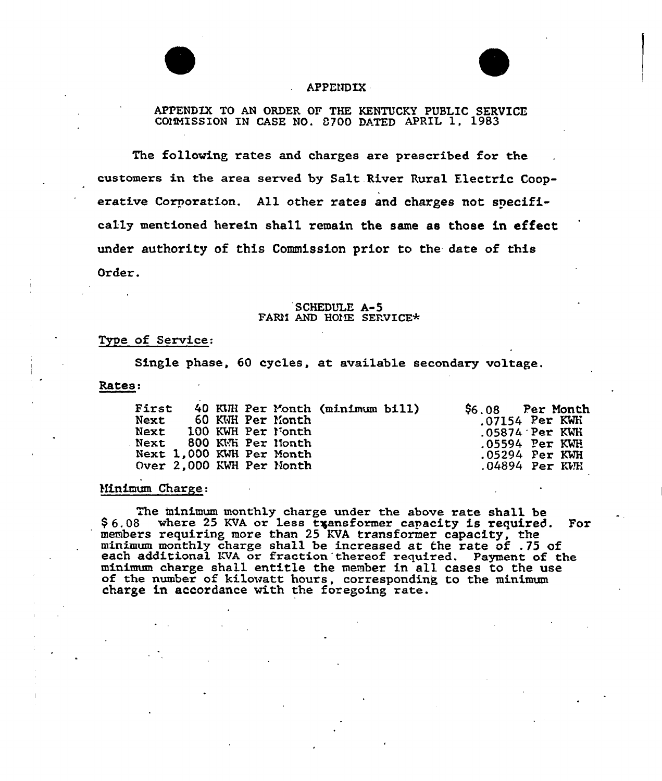



# APPENDIX

APPENDIX TO AN ORDER OF THE KENTUCKY PUBLIC SERVICE COMMISSION IN CASE NO. 8700 DATED APRIL 1, 1983

The following rates and charges are prescribed for the customers in the area served by Salt River Rural Electric Cooperative Corporation. All other rates and charges not specifically mentioned herein shall remain the same as those in effect under authority of this Commission prior to the date of this Order.

# SCHEDULE A-5<br>FARM AND HOME SERVICE\*

# Type of Service:

Single phase, 60 cycles, at available secondary voltage.

Rates:

| First<br>Next |  |  |  | 60 KWH Per Month<br>Next 100 KWH Per Nonth<br>Next 800 KWh Per Nonth<br>Next 1,000 KWH Per Month<br>Over 2.000 KWH Per Month | 40 KUH Per Month (minimum bill) |  | \$6.08 Per Month<br>.07154 Per KWH<br>$.05874$ Per KWH<br>$.05594$ Per KWH<br>.05294 Per KWH<br>$.04894$ Per KVH |  |  |
|---------------|--|--|--|------------------------------------------------------------------------------------------------------------------------------|---------------------------------|--|------------------------------------------------------------------------------------------------------------------|--|--|
|---------------|--|--|--|------------------------------------------------------------------------------------------------------------------------------|---------------------------------|--|------------------------------------------------------------------------------------------------------------------|--|--|

## Minimum Charge:

The minimum monthly charge under the above rate shall be \$6.08 where 25 KVA or less transformer capacity is required. For members requiring more than 25 KVA transformer capacity, the minimum monthly charge shall be increased at the rate of .75 of each additional KVA or fraction thereof required. Payment of the minimum charge shall entitle the member in all cases to the use of the number of kilowatt hours, corresponding to the minimum of the number of kilowatt hours, corresponding to the minimum charge in accordance with the foregoing rate.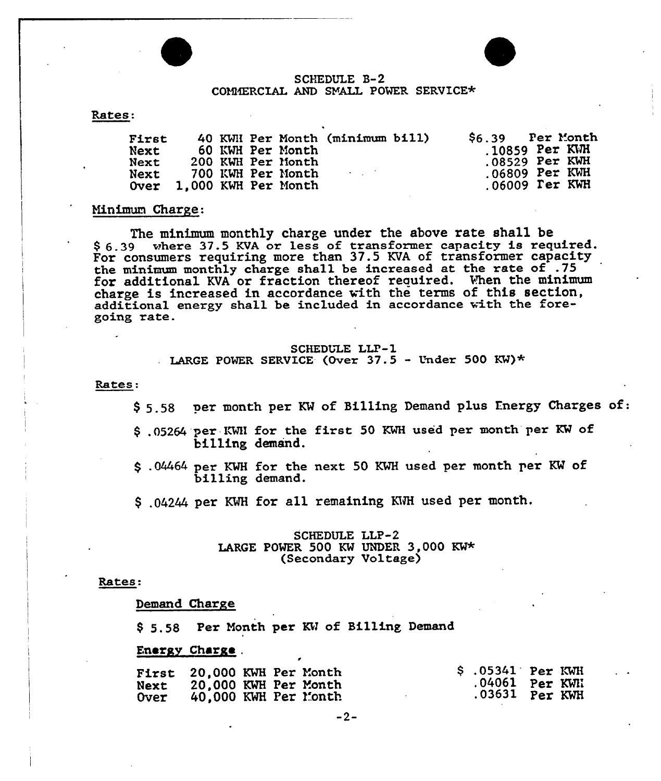

# SCHEDULE B-2 COMMERCIAL AND SYALL POWER SERVICE\*

#### Rates:

| First<br>Next<br>Next<br>Next |  | 60 KWH Per Month<br>200 KWH Per Month<br>700 KWH Per Month | 40 KWH Per Month (minimum bill)<br><b>Contract Contract</b> | $$6.39$ Per Month<br>$.10859$ Per KWH<br>$.08529$ Per KWH<br>$.06809$ Per KWH |  |
|-------------------------------|--|------------------------------------------------------------|-------------------------------------------------------------|-------------------------------------------------------------------------------|--|
| Over 1,000 KWH Per Month      |  |                                                            |                                                             | $.06009$ $\Gamma$ er $KWH$                                                    |  |

## Minimum Charge:

The minimum monthly charge under the above rate shall be \$ 6.39 where 37.5 KVA or less of transformer capacity is required. For consumers requiring more than 37.5 KVA of transformer capacity the minimum monthly charge shall be increased at the rate of .75 for additional KVA or fraction thereof required. When the minimum charge is increased in accordance with the terms of this section, additional energy shall be included in accordance with the foregoing rate.

SCHEDULE LLP-1<br>LARGE POWER SERVICE (Over 37.5 LARGE POWER SERVICE (Over  $37.5$  - Under 500 KW)\*

#### Rates:

- \$ 5.58 per month per KW of Billing Demand plus Energy Charges of:
- .05264 per-LWII for the first <sup>50</sup> KWH used per month per KW of billing demand.
- \$ .04464 per KMH for the next 50 KWH used per month per KW of billing demand.
- \$ .04244 per KWH for all remaining KWH used per month.

## SCHEDULE LLP-2 LARGE POWER 500 KW UNDER 3,000 KW\* (Secondary Voltage)

#### Rates:

#### Demand Charge

\$ 5.58 Per Month per KW of Billing Demand

#### Energy Charge .

|             | <b>First 20.000 KWH Per Month</b> | $$.05341$ Per KWH |
|-------------|-----------------------------------|-------------------|
| Next        | 20.000 KWH Per Month              | .04061 Per KWN    |
| <b>Over</b> | 40,000 KWH Per Month              |                   |

 $-2-$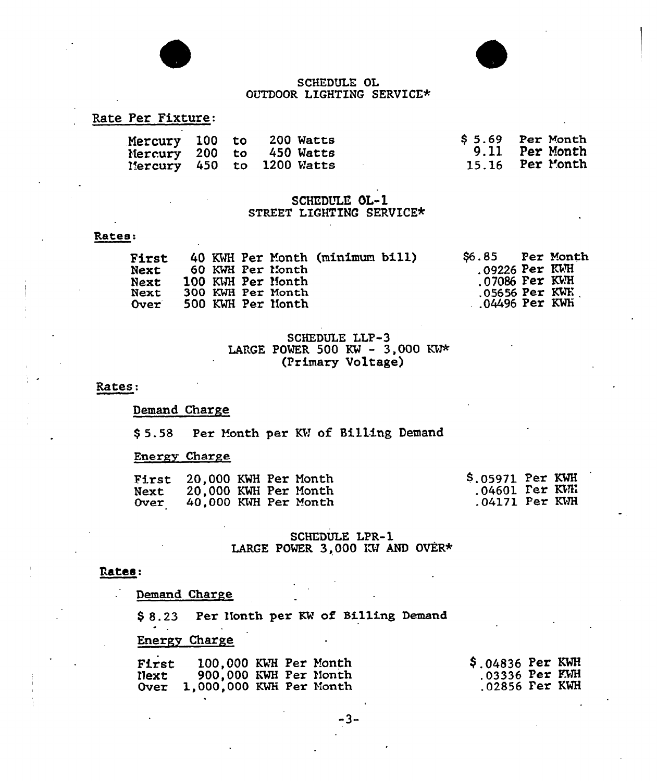

# SCHEDULE OL OUTDOOR LIGHTING SERVICE\*

# Rate Per Fixture:

|  | Mercury 100 to 200 Watts<br>Mercury 200 to 450 Watts<br>Mercury 450 to 1200 Watts | $$5.69$ Per Month<br>9.11 Per Month<br>15.16 Per Month |
|--|-----------------------------------------------------------------------------------|--------------------------------------------------------|
|  |                                                                                   |                                                        |

# SCHEDULE OL-1 STREET LIGHTING SERVICE\*

#### Rates:

| <b>First</b><br>Next<br><b>Next</b><br>Next<br>Over: |  |  |  | 60 KWH Per Month<br>100 KWH Per Month<br>300 KWH Per Month<br>500 KWH Per Month | 40 KWH Per Month (minimum bill) |  | S6.85<br>$.09226$ Per KWH<br>$.07086$ Per KWH<br>$.05656$ Per KWE<br>$.04496$ Per KWh |  | <b>Per Month</b> |
|------------------------------------------------------|--|--|--|---------------------------------------------------------------------------------|---------------------------------|--|---------------------------------------------------------------------------------------|--|------------------|
|------------------------------------------------------|--|--|--|---------------------------------------------------------------------------------|---------------------------------|--|---------------------------------------------------------------------------------------|--|------------------|

# SCHEDULE LLP-3<br>LARGE POWER 500 KW - 3,000 KW\* (Primary Voltage)

#### Rates

#### Demand Charge

\$ 5.58 Per Month per KH of Billing Demand

# Energy Charge

|      | <b>First</b> 20,000 KWH Per Month |  | $$.05971$ Per KWH         |  |
|------|-----------------------------------|--|---------------------------|--|
| Next | 20,000 KWH Per Month              |  | $.04601$ $\text{Per KWH}$ |  |
| 0ver | 40,000 KWH Per Month              |  | $.04171$ Per KWH          |  |

# SCHEDULE LPR-1 LARGE POWER 3,000 KW AND OVER\*

## Rates:

Demand Charge

\$ 8.23 Per Nonth per KW of Billing Demand

# Energy Charge

| First<br>Next | 100,000 KWH Per Month<br>900,000 KWH Per Month<br>Over 1,000,000 KWH Per Month | $$.04836$ Per KWH<br>$.03336$ Per KWH<br>$.02856$ $Per$ $KWH$ |  |
|---------------|--------------------------------------------------------------------------------|---------------------------------------------------------------|--|
|               |                                                                                |                                                               |  |